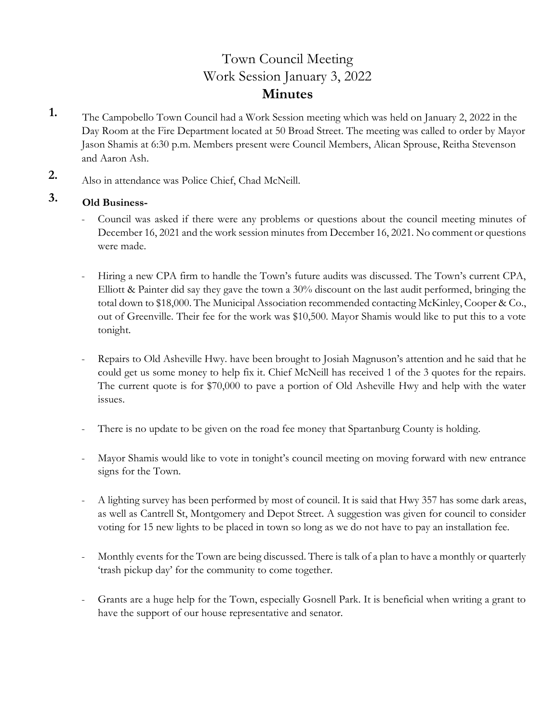# Town Council Meeting Work Session January 3, 2022 **Minutes**

- **1.** The Campobello Town Council had a Work Session meeting which was held on January 2, 2022 in the Day Room at the Fire Department located at 50 Broad Street. The meeting was called to order by Mayor Jason Shamis at 6:30 p.m. Members present were Council Members, Alican Sprouse, Reitha Stevenson and Aaron Ash.
- **2.** Also in attendance was Police Chief, Chad McNeill.

## **3. Old Business-**

- Council was asked if there were any problems or questions about the council meeting minutes of December 16, 2021 and the work session minutes from December 16, 2021. No comment or questions were made.
- Hiring a new CPA firm to handle the Town's future audits was discussed. The Town's current CPA, Elliott & Painter did say they gave the town a 30% discount on the last audit performed, bringing the total down to \$18,000. The Municipal Association recommended contacting McKinley, Cooper & Co., out of Greenville. Their fee for the work was \$10,500. Mayor Shamis would like to put this to a vote tonight.
- Repairs to Old Asheville Hwy. have been brought to Josiah Magnuson's attention and he said that he could get us some money to help fix it. Chief McNeill has received 1 of the 3 quotes for the repairs. The current quote is for \$70,000 to pave a portion of Old Asheville Hwy and help with the water issues.
- There is no update to be given on the road fee money that Spartanburg County is holding.
- Mayor Shamis would like to vote in tonight's council meeting on moving forward with new entrance signs for the Town.
- A lighting survey has been performed by most of council. It is said that Hwy 357 has some dark areas, as well as Cantrell St, Montgomery and Depot Street. A suggestion was given for council to consider voting for 15 new lights to be placed in town so long as we do not have to pay an installation fee.
- Monthly events for the Town are being discussed. There is talk of a plan to have a monthly or quarterly 'trash pickup day' for the community to come together.
- Grants are a huge help for the Town, especially Gosnell Park. It is beneficial when writing a grant to have the support of our house representative and senator.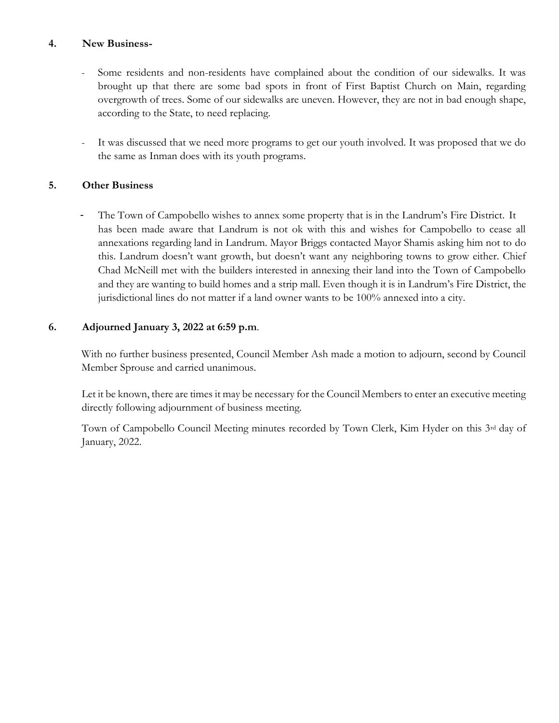### **4. New Business-**

- Some residents and non-residents have complained about the condition of our sidewalks. It was brought up that there are some bad spots in front of First Baptist Church on Main, regarding overgrowth of trees. Some of our sidewalks are uneven. However, they are not in bad enough shape, according to the State, to need replacing.
- It was discussed that we need more programs to get our youth involved. It was proposed that we do the same as Inman does with its youth programs.

## **5. Other Business**

The Town of Campobello wishes to annex some property that is in the Landrum's Fire District. It has been made aware that Landrum is not ok with this and wishes for Campobello to cease all annexations regarding land in Landrum. Mayor Briggs contacted Mayor Shamis asking him not to do this. Landrum doesn't want growth, but doesn't want any neighboring towns to grow either. Chief Chad McNeill met with the builders interested in annexing their land into the Town of Campobello and they are wanting to build homes and a strip mall. Even though it is in Landrum's Fire District, the jurisdictional lines do not matter if a land owner wants to be 100% annexed into a city.

## **6. Adjourned January 3, 2022 at 6:59 p.m**.

With no further business presented, Council Member Ash made a motion to adjourn, second by Council Member Sprouse and carried unanimous.

 Let it be known, there are times it may be necessary for the Council Members to enter an executive meeting directly following adjournment of business meeting.

 Town of Campobello Council Meeting minutes recorded by Town Clerk, Kim Hyder on this 3rd day of January, 2022.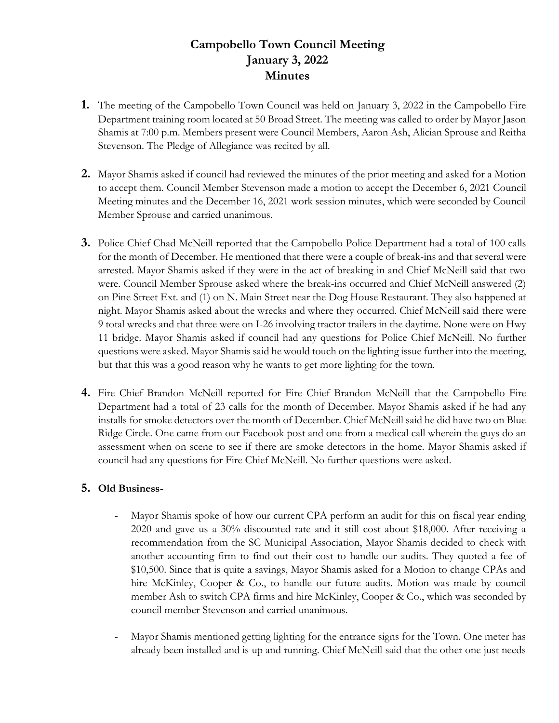## **Campobello Town Council Meeting January 3, 2022 Minutes**

- **1.** The meeting of the Campobello Town Council was held on January 3, 2022 in the Campobello Fire Department training room located at 50 Broad Street. The meeting was called to order by Mayor Jason Shamis at 7:00 p.m. Members present were Council Members, Aaron Ash, Alician Sprouse and Reitha Stevenson. The Pledge of Allegiance was recited by all.
- **2.** Mayor Shamis asked if council had reviewed the minutes of the prior meeting and asked for a Motion to accept them. Council Member Stevenson made a motion to accept the December 6, 2021 Council Meeting minutes and the December 16, 2021 work session minutes, which were seconded by Council Member Sprouse and carried unanimous.
- **3.** Police Chief Chad McNeill reported that the Campobello Police Department had a total of 100 calls for the month of December. He mentioned that there were a couple of break-ins and that several were arrested. Mayor Shamis asked if they were in the act of breaking in and Chief McNeill said that two were. Council Member Sprouse asked where the break-ins occurred and Chief McNeill answered (2) on Pine Street Ext. and (1) on N. Main Street near the Dog House Restaurant. They also happened at night. Mayor Shamis asked about the wrecks and where they occurred. Chief McNeill said there were 9 total wrecks and that three were on I-26 involving tractor trailers in the daytime. None were on Hwy 11 bridge. Mayor Shamis asked if council had any questions for Police Chief McNeill. No further questions were asked. Mayor Shamis said he would touch on the lighting issue further into the meeting, but that this was a good reason why he wants to get more lighting for the town.
- **4.** Fire Chief Brandon McNeill reported for Fire Chief Brandon McNeill that the Campobello Fire Department had a total of 23 calls for the month of December. Mayor Shamis asked if he had any installs for smoke detectors over the month of December. Chief McNeill said he did have two on Blue Ridge Circle. One came from our Facebook post and one from a medical call wherein the guys do an assessment when on scene to see if there are smoke detectors in the home. Mayor Shamis asked if council had any questions for Fire Chief McNeill. No further questions were asked.

## **5. Old Business-**

- Mayor Shamis spoke of how our current CPA perform an audit for this on fiscal year ending 2020 and gave us a 30% discounted rate and it still cost about \$18,000. After receiving a recommendation from the SC Municipal Association, Mayor Shamis decided to check with another accounting firm to find out their cost to handle our audits. They quoted a fee of \$10,500. Since that is quite a savings, Mayor Shamis asked for a Motion to change CPAs and hire McKinley, Cooper & Co., to handle our future audits. Motion was made by council member Ash to switch CPA firms and hire McKinley, Cooper & Co., which was seconded by council member Stevenson and carried unanimous.
- Mayor Shamis mentioned getting lighting for the entrance signs for the Town. One meter has already been installed and is up and running. Chief McNeill said that the other one just needs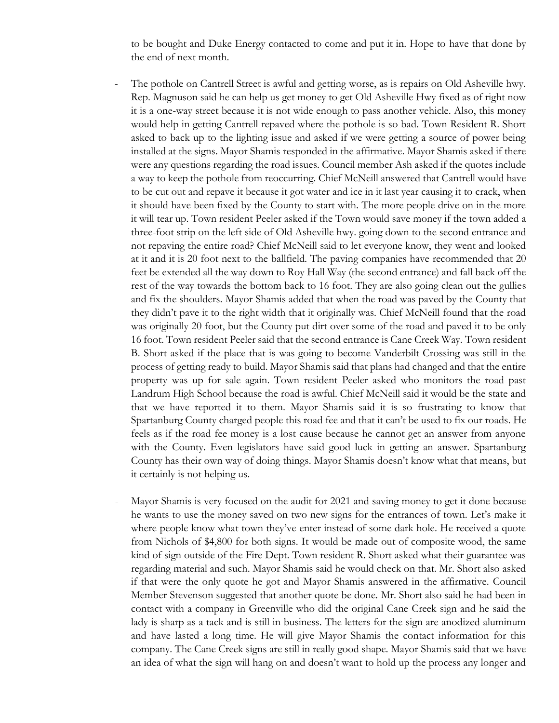to be bought and Duke Energy contacted to come and put it in. Hope to have that done by the end of next month.

- The pothole on Cantrell Street is awful and getting worse, as is repairs on Old Asheville hwy. Rep. Magnuson said he can help us get money to get Old Asheville Hwy fixed as of right now it is a one-way street because it is not wide enough to pass another vehicle. Also, this money would help in getting Cantrell repaved where the pothole is so bad. Town Resident R. Short asked to back up to the lighting issue and asked if we were getting a source of power being installed at the signs. Mayor Shamis responded in the affirmative. Mayor Shamis asked if there were any questions regarding the road issues. Council member Ash asked if the quotes include a way to keep the pothole from reoccurring. Chief McNeill answered that Cantrell would have to be cut out and repave it because it got water and ice in it last year causing it to crack, when it should have been fixed by the County to start with. The more people drive on in the more it will tear up. Town resident Peeler asked if the Town would save money if the town added a three-foot strip on the left side of Old Asheville hwy. going down to the second entrance and not repaving the entire road? Chief McNeill said to let everyone know, they went and looked at it and it is 20 foot next to the ballfield. The paving companies have recommended that 20 feet be extended all the way down to Roy Hall Way (the second entrance) and fall back off the rest of the way towards the bottom back to 16 foot. They are also going clean out the gullies and fix the shoulders. Mayor Shamis added that when the road was paved by the County that they didn't pave it to the right width that it originally was. Chief McNeill found that the road was originally 20 foot, but the County put dirt over some of the road and paved it to be only 16 foot. Town resident Peeler said that the second entrance is Cane Creek Way. Town resident B. Short asked if the place that is was going to become Vanderbilt Crossing was still in the process of getting ready to build. Mayor Shamis said that plans had changed and that the entire property was up for sale again. Town resident Peeler asked who monitors the road past Landrum High School because the road is awful. Chief McNeill said it would be the state and that we have reported it to them. Mayor Shamis said it is so frustrating to know that Spartanburg County charged people this road fee and that it can't be used to fix our roads. He feels as if the road fee money is a lost cause because he cannot get an answer from anyone with the County. Even legislators have said good luck in getting an answer. Spartanburg County has their own way of doing things. Mayor Shamis doesn't know what that means, but it certainly is not helping us.
- Mayor Shamis is very focused on the audit for 2021 and saving money to get it done because he wants to use the money saved on two new signs for the entrances of town. Let's make it where people know what town they've enter instead of some dark hole. He received a quote from Nichols of \$4,800 for both signs. It would be made out of composite wood, the same kind of sign outside of the Fire Dept. Town resident R. Short asked what their guarantee was regarding material and such. Mayor Shamis said he would check on that. Mr. Short also asked if that were the only quote he got and Mayor Shamis answered in the affirmative. Council Member Stevenson suggested that another quote be done. Mr. Short also said he had been in contact with a company in Greenville who did the original Cane Creek sign and he said the lady is sharp as a tack and is still in business. The letters for the sign are anodized aluminum and have lasted a long time. He will give Mayor Shamis the contact information for this company. The Cane Creek signs are still in really good shape. Mayor Shamis said that we have an idea of what the sign will hang on and doesn't want to hold up the process any longer and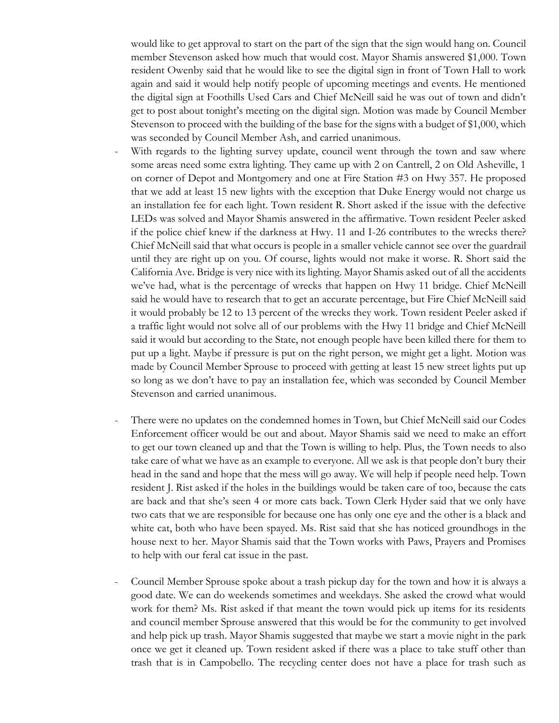would like to get approval to start on the part of the sign that the sign would hang on. Council member Stevenson asked how much that would cost. Mayor Shamis answered \$1,000. Town resident Owenby said that he would like to see the digital sign in front of Town Hall to work again and said it would help notify people of upcoming meetings and events. He mentioned the digital sign at Foothills Used Cars and Chief McNeill said he was out of town and didn't get to post about tonight's meeting on the digital sign. Motion was made by Council Member Stevenson to proceed with the building of the base for the signs with a budget of \$1,000, which was seconded by Council Member Ash, and carried unanimous.

- With regards to the lighting survey update, council went through the town and saw where some areas need some extra lighting. They came up with 2 on Cantrell, 2 on Old Asheville, 1 on corner of Depot and Montgomery and one at Fire Station #3 on Hwy 357. He proposed that we add at least 15 new lights with the exception that Duke Energy would not charge us an installation fee for each light. Town resident R. Short asked if the issue with the defective LEDs was solved and Mayor Shamis answered in the affirmative. Town resident Peeler asked if the police chief knew if the darkness at Hwy. 11 and I-26 contributes to the wrecks there? Chief McNeill said that what occurs is people in a smaller vehicle cannot see over the guardrail until they are right up on you. Of course, lights would not make it worse. R. Short said the California Ave. Bridge is very nice with its lighting. Mayor Shamis asked out of all the accidents we've had, what is the percentage of wrecks that happen on Hwy 11 bridge. Chief McNeill said he would have to research that to get an accurate percentage, but Fire Chief McNeill said it would probably be 12 to 13 percent of the wrecks they work. Town resident Peeler asked if a traffic light would not solve all of our problems with the Hwy 11 bridge and Chief McNeill said it would but according to the State, not enough people have been killed there for them to put up a light. Maybe if pressure is put on the right person, we might get a light. Motion was made by Council Member Sprouse to proceed with getting at least 15 new street lights put up so long as we don't have to pay an installation fee, which was seconded by Council Member Stevenson and carried unanimous.
- There were no updates on the condemned homes in Town, but Chief McNeill said our Codes Enforcement officer would be out and about. Mayor Shamis said we need to make an effort to get our town cleaned up and that the Town is willing to help. Plus, the Town needs to also take care of what we have as an example to everyone. All we ask is that people don't bury their head in the sand and hope that the mess will go away. We will help if people need help. Town resident J. Rist asked if the holes in the buildings would be taken care of too, because the cats are back and that she's seen 4 or more cats back. Town Clerk Hyder said that we only have two cats that we are responsible for because one has only one eye and the other is a black and white cat, both who have been spayed. Ms. Rist said that she has noticed groundhogs in the house next to her. Mayor Shamis said that the Town works with Paws, Prayers and Promises to help with our feral cat issue in the past.
- Council Member Sprouse spoke about a trash pickup day for the town and how it is always a good date. We can do weekends sometimes and weekdays. She asked the crowd what would work for them? Ms. Rist asked if that meant the town would pick up items for its residents and council member Sprouse answered that this would be for the community to get involved and help pick up trash. Mayor Shamis suggested that maybe we start a movie night in the park once we get it cleaned up. Town resident asked if there was a place to take stuff other than trash that is in Campobello. The recycling center does not have a place for trash such as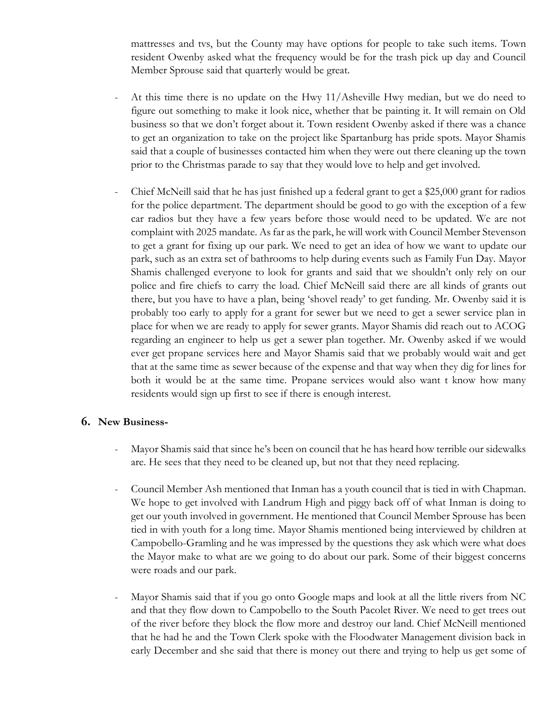mattresses and tvs, but the County may have options for people to take such items. Town resident Owenby asked what the frequency would be for the trash pick up day and Council Member Sprouse said that quarterly would be great.

- At this time there is no update on the Hwy  $11/A$ sheville Hwy median, but we do need to figure out something to make it look nice, whether that be painting it. It will remain on Old business so that we don't forget about it. Town resident Owenby asked if there was a chance to get an organization to take on the project like Spartanburg has pride spots. Mayor Shamis said that a couple of businesses contacted him when they were out there cleaning up the town prior to the Christmas parade to say that they would love to help and get involved.
- Chief McNeill said that he has just finished up a federal grant to get a \$25,000 grant for radios for the police department. The department should be good to go with the exception of a few car radios but they have a few years before those would need to be updated. We are not complaint with 2025 mandate. As far as the park, he will work with Council Member Stevenson to get a grant for fixing up our park. We need to get an idea of how we want to update our park, such as an extra set of bathrooms to help during events such as Family Fun Day. Mayor Shamis challenged everyone to look for grants and said that we shouldn't only rely on our police and fire chiefs to carry the load. Chief McNeill said there are all kinds of grants out there, but you have to have a plan, being 'shovel ready' to get funding. Mr. Owenby said it is probably too early to apply for a grant for sewer but we need to get a sewer service plan in place for when we are ready to apply for sewer grants. Mayor Shamis did reach out to ACOG regarding an engineer to help us get a sewer plan together. Mr. Owenby asked if we would ever get propane services here and Mayor Shamis said that we probably would wait and get that at the same time as sewer because of the expense and that way when they dig for lines for both it would be at the same time. Propane services would also want t know how many residents would sign up first to see if there is enough interest.

## **6. New Business-**

- Mayor Shamis said that since he's been on council that he has heard how terrible our sidewalks are. He sees that they need to be cleaned up, but not that they need replacing.
- Council Member Ash mentioned that Inman has a youth council that is tied in with Chapman. We hope to get involved with Landrum High and piggy back off of what Inman is doing to get our youth involved in government. He mentioned that Council Member Sprouse has been tied in with youth for a long time. Mayor Shamis mentioned being interviewed by children at Campobello-Gramling and he was impressed by the questions they ask which were what does the Mayor make to what are we going to do about our park. Some of their biggest concerns were roads and our park.
- Mayor Shamis said that if you go onto Google maps and look at all the little rivers from NC and that they flow down to Campobello to the South Pacolet River. We need to get trees out of the river before they block the flow more and destroy our land. Chief McNeill mentioned that he had he and the Town Clerk spoke with the Floodwater Management division back in early December and she said that there is money out there and trying to help us get some of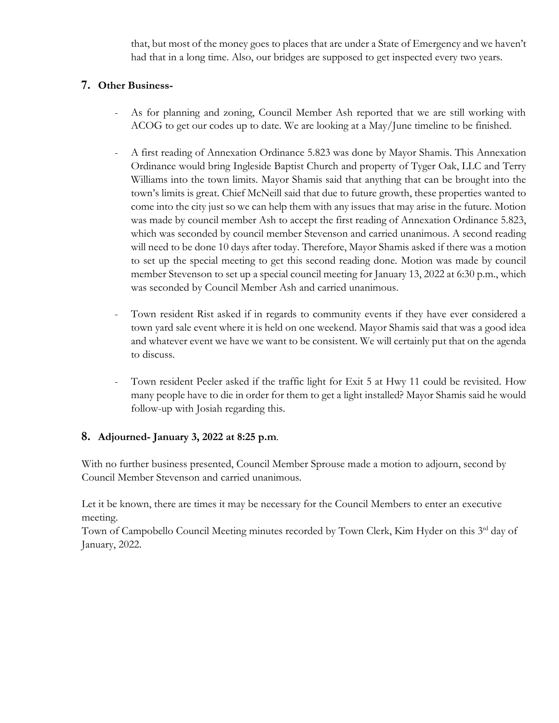that, but most of the money goes to places that are under a State of Emergency and we haven't had that in a long time. Also, our bridges are supposed to get inspected every two years.

## **7. Other Business-**

- As for planning and zoning, Council Member Ash reported that we are still working with ACOG to get our codes up to date. We are looking at a May/June timeline to be finished.
- A first reading of Annexation Ordinance 5.823 was done by Mayor Shamis. This Annexation Ordinance would bring Ingleside Baptist Church and property of Tyger Oak, LLC and Terry Williams into the town limits. Mayor Shamis said that anything that can be brought into the town's limits is great. Chief McNeill said that due to future growth, these properties wanted to come into the city just so we can help them with any issues that may arise in the future. Motion was made by council member Ash to accept the first reading of Annexation Ordinance 5.823, which was seconded by council member Stevenson and carried unanimous. A second reading will need to be done 10 days after today. Therefore, Mayor Shamis asked if there was a motion to set up the special meeting to get this second reading done. Motion was made by council member Stevenson to set up a special council meeting for January 13, 2022 at 6:30 p.m., which was seconded by Council Member Ash and carried unanimous.
- Town resident Rist asked if in regards to community events if they have ever considered a town yard sale event where it is held on one weekend. Mayor Shamis said that was a good idea and whatever event we have we want to be consistent. We will certainly put that on the agenda to discuss.
- Town resident Peeler asked if the traffic light for Exit 5 at Hwy 11 could be revisited. How many people have to die in order for them to get a light installed? Mayor Shamis said he would follow-up with Josiah regarding this.

## **8. Adjourned- January 3, 2022 at 8:25 p.m**.

With no further business presented, Council Member Sprouse made a motion to adjourn, second by Council Member Stevenson and carried unanimous.

 Let it be known, there are times it may be necessary for the Council Members to enter an executive meeting.

Town of Campobello Council Meeting minutes recorded by Town Clerk, Kim Hyder on this 3<sup>rd</sup> day of January, 2022.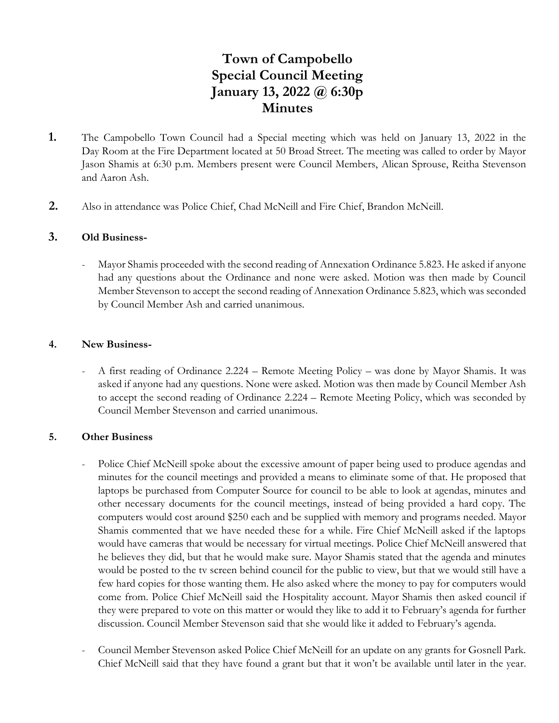# **Town of Campobello Special Council Meeting January 13, 2022 @ 6:30p Minutes**

- **1.** The Campobello Town Council had a Special meeting which was held on January 13, 2022 in the Day Room at the Fire Department located at 50 Broad Street. The meeting was called to order by Mayor Jason Shamis at 6:30 p.m. Members present were Council Members, Alican Sprouse, Reitha Stevenson and Aaron Ash.
- **2.** Also in attendance was Police Chief, Chad McNeill and Fire Chief, Brandon McNeill.

### **3. Old Business-**

Mayor Shamis proceeded with the second reading of Annexation Ordinance 5.823. He asked if anyone had any questions about the Ordinance and none were asked. Motion was then made by Council Member Stevenson to accept the second reading of Annexation Ordinance 5.823, which was seconded by Council Member Ash and carried unanimous.

#### **4. New Business-**

- A first reading of Ordinance 2.224 – Remote Meeting Policy – was done by Mayor Shamis. It was asked if anyone had any questions. None were asked. Motion was then made by Council Member Ash to accept the second reading of Ordinance 2.224 – Remote Meeting Policy, which was seconded by Council Member Stevenson and carried unanimous.

#### **5. Other Business**

- Police Chief McNeill spoke about the excessive amount of paper being used to produce agendas and minutes for the council meetings and provided a means to eliminate some of that. He proposed that laptops be purchased from Computer Source for council to be able to look at agendas, minutes and other necessary documents for the council meetings, instead of being provided a hard copy. The computers would cost around \$250 each and be supplied with memory and programs needed. Mayor Shamis commented that we have needed these for a while. Fire Chief McNeill asked if the laptops would have cameras that would be necessary for virtual meetings. Police Chief McNeill answered that he believes they did, but that he would make sure. Mayor Shamis stated that the agenda and minutes would be posted to the tv screen behind council for the public to view, but that we would still have a few hard copies for those wanting them. He also asked where the money to pay for computers would come from. Police Chief McNeill said the Hospitality account. Mayor Shamis then asked council if they were prepared to vote on this matter or would they like to add it to February's agenda for further discussion. Council Member Stevenson said that she would like it added to February's agenda.
- Council Member Stevenson asked Police Chief McNeill for an update on any grants for Gosnell Park. Chief McNeill said that they have found a grant but that it won't be available until later in the year.